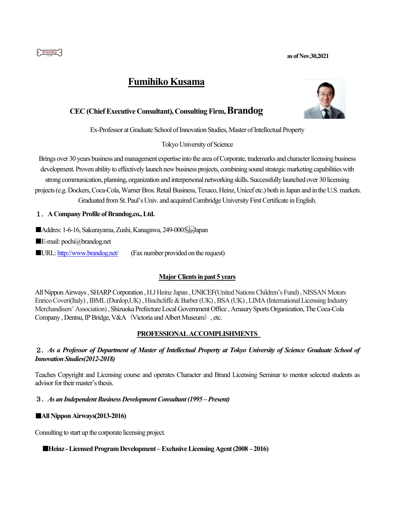

# **Fumihiko Kusama**



## **CEC (Chief Executive Consultant), Consulting Firm, Brandog**

Ex-Professor at Graduate School of Innovation Studies, Master of Intellectual Property

Tokyo University of Science

Brings over 30 years business and management expertise into the area of Corporate, trademarks and character licensing business development. Proven ability to effectively launch new business projects, combining sound strategic marketing capabilities with strong communication, planning, organization and interpersonal networking skills. Successfully launched over 30 licensing projects(e.g. Dockers, Coca-Cola, Warner Bros.Retail Business, Texaco, Heinz, Unicef etc.) both in Japan and in the U.S. markets. Graduated from St. Paul's Univ. and acquired Cambridge University First Certificate in English.

## 1.**A Company Profile of Brandog.co., Ltd.**

■Addres: 1-6-16, Sakurayama, Zushi, Kanagawa, 249-0005 Filipiapan

■E-mail: pochi@brandog.net

URL: http://www.brandog.net/ (Fax number provided on the request)

## **Major Clients in past 5 years**

All Nippon Airways , SHARP Corporation , H.J Heinz Japan , UNICEF(United NationsChildren's Fund), NISSAN Motors Enrico Coveri(Italy) , IBML (Dunlop,UK) , Hinchcliffe & Barber(UK) , BSA (UK) , LIMA (International Licensing Industry Merchandisers'Association), Shizuoka Prefecture Local Government Office ,Amaury Sports Organization, The Coca-Cola Company, Dentsu, IP Bridge, V&A (Victoria and Albert Museum), etc.

## **PROFESSIONAL ACCOMPLISHMENTS**

## 2.*As a Professor of Department of Master of Intellectual Property at Tokyo University of Science Graduate School of Innovation Studies(2012-2018)*

Teaches Copyright and Licensing course and operates Character and Brand Licensing Seminar to mentor selected students as advisor for their master's thesis.

## 3.*As an Independent Business Development Consultant (1995 –Present)*

## ■**All Nippon Airways(2013-2016)**

Consulting to start up the corporate licensing project.

## ■**Heinz -Licensed Program Development –Exclusive Licensing Agent (2008 – 2016)**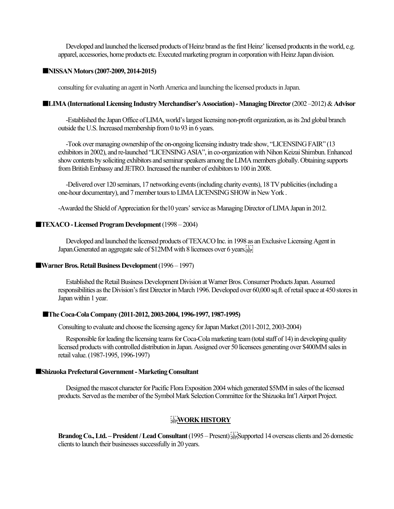Developed and launched the licensed products of Heinz brand as the first Heinz' licensed producnts in the world, e.g. apparel, accessories, home products etc. Executed marketing program in corporation with Heinz Japan division.

#### ■**NISSAN Motors(2007-2009, 2014-2015)**

consulting for evaluating an agent in North America and launching the licensed products in Japan.

#### ■**LIMA (International Licensing Industry Merchandiser's Association) -Managing Director** (2002 –2012) & **Advisor**

-Established the Japan Office of LIMA, world's largest licensing non-profit organization, as its 2nd global branch outside the U.S. Increased membership from 0 to 93 in 6 years.

-Took over managing ownership of the on-ongoing licensing industry trade show, "LICENSING FAIR" (13 exhibitors in 2002), and re-launched "LICENSING ASIA", in co-organization with Nihon Keizai Shimbun. Enhanced show contents by soliciting exhibitors and seminar speakers among the LIMA members globally. Obtaining supports from British Embassy and JETRO. Increased the number of exhibitors to 100 in 2008.

-Delivered over 120 seminars, 17 networking events (including charity events), 18 TV publicities (including a one-hour documentary), and 7 member tours to LIMA LICENSING SHOW in New York .

-Awarded the Shield of Appreciation for the10 years' service as Managing Director of LIMA Japan in 2012.

#### ■**TEXACO - Licensed Program Development** (1998 – 2004)

Developed and launched the licensed products of TEXACO Inc. in 1998 as an Exclusive Licensing Agent in Japan.Generated an aggregate sale of \$12MM with 8 licensees over 6 years.

#### ■**Warner Bros. Retail Business Development** (1996 – 1997)

Established the Retail Business Development Division at Warner Bros. Consumer Products Japan. Assumed responsibilities as the Division's first Director in March 1996. Developed over 60,000 sq.ft. of retail space at 450 stores in Japan within 1 year.

#### ■**The Coca-Cola Company** (2011-2012, 2003-2004, 1996-1997, 1987-1995)

Consulting to evaluate and choose the licensing agency for Japan Market (2011-2012, 2003-2004)

Responsible for leading the licensing teams for Coca-Cola marketing team (total staff of 14) in developing quality licensed products with controlled distribution in Japan. Assigned over 50 licensees generating over \$400MM sales in retail value.(1987-1995, 1996-1997)

#### ■**Shizuoka Prefectural Government -Marketing Consultant**

Designed the mascot character for Pacific Flora Exposition 2004 which generated \$5MM in sales of the licensed products. Served as the member of the Symbol Mark Selection Committee for the Shizuoka Int'l Airport Project.

### **WORK HISTORY**

**Brandog Co., Ltd. – President / Lead Consultant** (1995 – Present) **SEP**Supported 14 overseas clients and 26 domestic clients to launch their businesses successfully in 20 years.